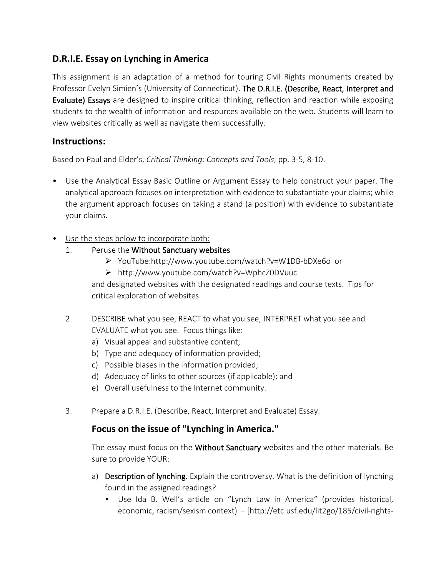# **D.R.I.E. Essay on Lynching in America**

This assignment is an adaptation of a method for touring Civil Rights monuments created by Professor Evelyn Simien's (University of Connecticut). The D.R.I.E. (Describe, React, Interpret and Evaluate) Essays are designed to inspire critical thinking, reflection and reaction while exposing students to the wealth of information and resources available on the web. Students will learn to view websites critically as well as navigate them successfully.

#### **Instructions:**

Based on Paul and Elder's, *Critical Thinking: Concepts and Tools*, pp. 3-5, 8-10.

- Use the Analytical Essay Basic Outline or Argument Essay to help construct your paper. The analytical approach focuses on interpretation with evidence to substantiate your claims; while the argument approach focuses on taking a stand (a position) with evidence to substantiate your claims.
- Use the steps below to incorporate both:
	- 1. Peruse the Without Sanctuary websites
		- YouTube:http://www.youtube.com/watch?v=W1DB-bDXe6o or
		- http://www.youtube.com/watch?v=WphcZ0DVuuc

and designated websites with the designated readings and course texts. Tips for critical exploration of websites.

- 2. DESCRIBE what you see, REACT to what you see, INTERPRET what you see and EVALUATE what you see. Focus things like:
	- a) Visual appeal and substantive content;
	- b) Type and adequacy of information provided;
	- c) Possible biases in the information provided;
	- d) Adequacy of links to other sources (if applicable); and
	- e) Overall usefulness to the Internet community.
- 3. Prepare a D.R.I.E. (Describe, React, Interpret and Evaluate) Essay.

## **Focus on the issue of "Lynching in America."**

The essay must focus on the **Without Sanctuary** websites and the other materials. Be sure to provide YOUR:

- a) Description of lynching. Explain the controversy. What is the definition of lynching found in the assigned readings?
	- Use Ida B. Well's article on "Lynch Law in America" (provides historical, economic, racism/sexism context) – [http://etc.usf.edu/lit2go/185/civil-rights-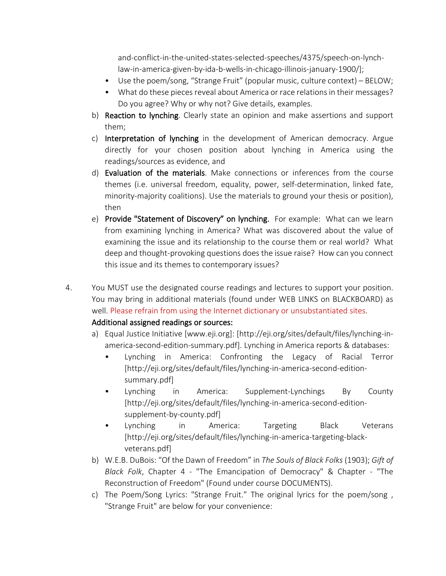and-conflict-in-the-united-states-selected-speeches/4375/speech-on-lynchlaw-in-america-given-by-ida-b-wells-in-chicago-illinois-january-1900/];

- Use the poem/song, "Strange Fruit" (popular music, culture context) BELOW;
- What do these pieces reveal about America or race relations in their messages? Do you agree? Why or why not? Give details, examples.
- b) Reaction to lynching. Clearly state an opinion and make assertions and support them;
- c) Interpretation of lynching in the development of American democracy. Argue directly for your chosen position about lynching in America using the readings/sources as evidence, and
- d) Evaluation of the materials. Make connections or inferences from the course themes (i.e. universal freedom, equality, power, self-determination, linked fate, minority-majority coalitions). Use the materials to ground your thesis or position), then
- e) Provide "Statement of Discovery" on lynching. For example: What can we learn from examining lynching in America? What was discovered about the value of examining the issue and its relationship to the course them or real world? What deep and thought-provoking questions does the issue raise? How can you connect this issue and its themes to contemporary issues?
- 4. You MUST use the designated course readings and lectures to support your position. You may bring in additional materials (found under WEB LINKS on BLACKBOARD) as well. Please refrain from using the Internet dictionary or unsubstantiated sites.

#### Additional assigned readings or sources:

- a) Equal Justice Initiative [www.eji.org]: [http://eji.org/sites/default/files/lynching-inamerica-second-edition-summary.pdf]. Lynching in America reports & databases:
	- Lynching in America: Confronting the Legacy of Racial Terror [http://eji.org/sites/default/files/lynching-in-america-second-editionsummary.pdf]
	- Lynching in America: Supplement-Lynchings By County [http://eji.org/sites/default/files/lynching-in-america-second-editionsupplement-by-county.pdf]
	- Lynching in America: Targeting Black Veterans [http://eji.org/sites/default/files/lynching-in-america-targeting-blackveterans.pdf]
- b) W.E.B. DuBois: "Of the Dawn of Freedom" in *The Souls of Black Folks* (1903); *Gift of Black Folk*, Chapter 4 - "The Emancipation of Democracy" & Chapter - "The Reconstruction of Freedom" (Found under course DOCUMENTS).
- c) The Poem/Song Lyrics: "Strange Fruit." The original lyrics for the poem/song , "Strange Fruit" are below for your convenience: